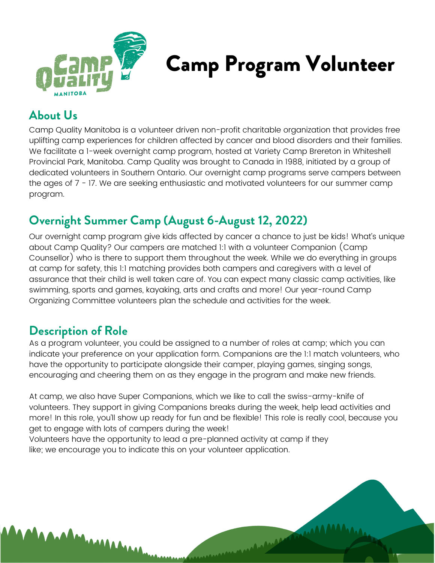

# Camp Program Volunteer

### **About Us**

Camp Quality Manitoba is a volunteer driven non-profit charitable organization that provides free uplifting camp experiences for children affected by cancer and blood disorders and their families. We facilitate a 1-week overnight camp program, hosted at Variety Camp Brereton in Whiteshell Provincial Park, Manitoba. Camp Quality was brought to Canada in 1988, initiated by a group of dedicated volunteers in Southern Ontario. Our overnight camp programs serve campers between the ages of 7 - 17. We are seeking enthusiastic and motivated volunteers for our summer camp program.

### **Overnight Summer Camp (August 6-August 12, 2022)**

Our overnight camp program give kids affected by cancer a chance to just be kids! What's unique about Camp Quality? Our campers are matched 1:1 with a volunteer Companion (Camp Counsellor) who is there to support them throughout the week. While we do everything in groups at camp for safety, this 1:1 matching provides both campers and caregivers with a level of assurance that their child is well taken care of. You can expect many classic camp activities, like swimming, sports and games, kayaking, arts and crafts and more! Our year-round Camp Organizing Committee volunteers plan the schedule and activities for the week.

#### **Description of Role**

**MAAAAAAA** 

As a program volunteer, you could be assigned to a number of roles at camp; which you can indicate your preference on your application form. Companions are the 1:1 match volunteers, who have the opportunity to participate alongside their camper, playing games, singing songs, encouraging and cheering them on as they engage in the program and make new friends.

At camp, we also have Super Companions, which we like to call the swiss-army-knife of volunteers. They support in giving Companions breaks during the week, help lead activities and more! In this role, you'll show up ready for fun and be flexible! This role is really cool, because you get to engage with lots of campers during the week!

mandones

Volunteers have the opportunity to lead a pre-planned activity at camp if they like; we encourage you to indicate this on your volunteer application.